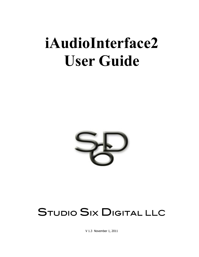# **iAudioInterface2 User Guide**



# STUDIO SIX DIGITAL LLC

V 1.3 November 1, 2011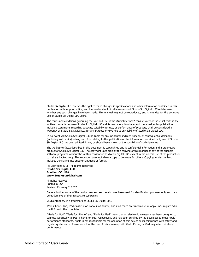Studio Six Digital LLC reserves the right to make changes in specifications and other information contained in this publication without prior notice, and the reader should in all cases consult Studio Six Digital LLC to determine whether any such changes have been made. This manual may not be reproduced, and is intended for the exclusive use of Studio Six Digital LLC users.

The terms and conditions governing the sale and use of the iAudioInterface2 consist solely of those set forth in the written contracts between Studio Six Digital LLC and its customers. No statement contained in this publication, including statements regarding capacity, suitability for use, or performance of products, shall be considered a warranty by Studio Six Digital LLC for any purpose or give rise to any liability of Studio Six Digital LLC.

In no event will Studio Six Digital LLC be liable for any incidental, indirect, special, or consequential damages (including lost profits) arising out of or relating to this publication or the information contained in it, even if Studio Six Digital LLC has been advised, knew, or should have known of the possibility of such damages.

The iAudioInterface2 described in this document is copyrighted and is confidential information and a proprietary product of Studio Six Digital LLC. The copyright laws prohibit the copying of this manual or any of the support software programs without the written consent of Studio Six Digital LLC, except in the normal use of the product, or to make a backup copy. This exception does not allow a copy to be made for others. Copying, under the law, includes translating into another language or format.

(c) Copyright 2011 All Rights Reserved **Studio Six Digital LLC Boulder, CO USA www.StudioSixDigital.com**

All rights reserved. Printed in USA Revised: February 2, 2012

General Notice: some of the product names used herein have been used for identification purposes only and may be trademarks of their respective companies.

iAudioInterface2 is a trademark of Studio Six Digital LLC.

iPad, iPhone, iPod, iPod classic, iPod nano, iPod shuffle, and iPod touch are trademarks of Apple Inc., registered in the U.S. and other countries.

"Made for iPod," "Made for iPhone," and "Made for iPad" mean that an electronic accessory has been designed to connect specifically to iPod, iPhone, or iPad, respectively, and has been certified by the developer to meet Apple performance standards. Apple is not responsible for the operation of this device or its compliance with safety and regulatory standards. Please note that the use of this accessory with iPod, iPhone, or iPad may affect wireless performance.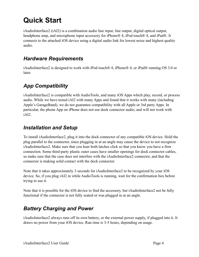# **Quick Start**

iAudioInterface2 (iAI2) is a combination audio line input, line output, digital optical output, headphone amp, and microphone input accessory for iPhone® 4, iPod touch® 4, and iPad®. It connects to the attached iOS device using a digital audio link for lowest noise and highest quality audio.

#### *Hardware Requirements*

iAudioInterface2 is designed to work with iPod touch® 4, iPhone® 4, or iPad® running OS 3.0 or later.

### *App Compatibility*

iAudioInterface2 is compatible with AudioTools, and many iOS Apps which play, record, or process audio. While we have tested iAI2 with many Apps and found that it works with many (including Apple's GarageBand), we do not guarantee compatibility with all Apple or 3rd party Apps. In particular, the phone App on iPhone does not use dock connector audio, and will not work with iAI2.

#### *Installation and Setup*

To install iAudioInterface2, plug it into the dock connector of any compatible iOS device. Hold the plug parallel to the connector, since plugging in at an angle may cause the device to not recognize iAudioInterface2. Make sure that you hear both latches click so that you know you have a firm connection. Some third-party plastic outer cases have smaller openings for dock connector cables, so make sure that the case does not interfere with the iAudioInterface2 connector, and that the connector is making solid contact with the dock connector.

Note that it takes approximately 3 seconds for iAudioInterface2 to be recognized by your iOS device. So, if you plug iAI2 in while AudioTools is running, wait for the confirmation box before trying to use it.

Note that it is possible for the iOS device to find the accessory, but iAudioInterface2 not be fully functional if the connector is not fully seated or was plugged in at an angle.

### *Battery Charging and Power*

iAudioInterface2 always runs off its own battery, or the external power supply, if plugged into it. It draws no power from your iOS device. Run time is 3-5 hours, depending on usage.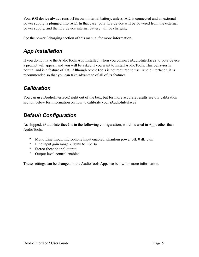Your iOS device always runs off its own internal battery, unless iAI2 is connected and an external power supply is plugged into iAI2. In that case, your iOS device will be powered from the external power supply, and the iOS device internal battery will be charging.

See the power / charging section of this manual for more information.

#### *App Installation*

If you do not have the AudioTools App installed, when you connect iAudioInterface2 to your device a prompt will appear, and you will be asked if you want to install AudioTools. This behavior is normal and is a feature of iOS. Although AudioTools is not required to use iAudioInterface2, it is recommended so that you can take advantage of all of its features.

#### *Calibration*

You can use iAudioInterface2 right out of the box, but for more accurate results see our calibration section below for information on how to calibrate your iAudioInterface2.

### *Default Configuration*

As shipped, iAudioInterface2 is in the following configuration, which is used in Apps other than AudioTools:

- Mono Line Input, microphone input enabled, phantom power off, 0 dB gain
- Line input gain range -70dBu to +8dBu
- Stereo (headphone) output
- Output level control enabled

These settings can be changed in the AudioTools App, see below for more information.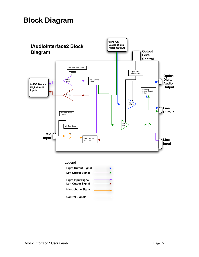## **Block Diagram**



#### **Legend**

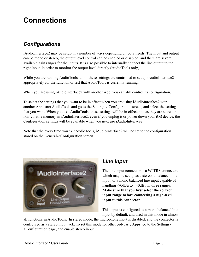### **Connections**

### *Configurations*

iAudioInterface2 may be setup in a number of ways depending on your needs. The input and output can be mono or stereo, the output level control can be enabled or disabled, and there are several available gain ranges for the inputs. It is also possible to internally connect the line output to the right input, in order to monitor the output level directly (AudioTools only).

While you are running AudioTools, all of these settings are controlled to set up iAudioInterface2 appropriately for the function or test that AudioTools is currently running.

When you are using iAudioInterface2 with another App, you can still control its configuration.

To select the settings that you want to be in effect when you are using iAudioInterface2 with another App, start AudioTools and go to the Settings->Configuration screen, and select the settings that you want. When you exit AudioTools, these settings will be in effect, and as they are stored in non-volatile memory in iAudioInterface2, even if you unplug it or power down your iOS device, the Configuration settings will be available when you next use iAudioInterface2.

Note that the every time you exit AudioTools, iAudioInterface2 will be set to the configuration stored on the General->Configuration screen.



### *Line Input*

The line input connector is a  $\frac{1}{4}$ " TRS connector, which may be set up as a stereo unbalanced line input, or a mono balanced line input capable of handling -90dBu to +40dBu in three ranges. **Make sure that you first select the correct input range before connecting a high-level input to this connector.**

This input is configured as a mono balanced line input by default, and used in this mode in almost

all functions in AudioTools. In stereo mode, the microphone input is disabled, and the connector is configured as a stereo input jack. To set this mode for other 3rd-party Apps, go to the Settings- >Configuration page, and enable stereo input.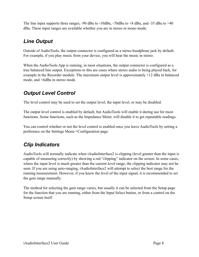The line input supports three ranges,  $-90$  dBu to  $-10$ dBu,  $-70$ dBu to  $+8$  dBu, and  $-35$  dBu to  $+40$ dBu. These input ranges are available whether you are in stereo or mono mode.

### *Line Output*

Outside of AudioTools, the output connector is configured as a stereo headphone jack by default. For example, if you play music from your device, you will hear the music in stereo.

When the AudioTools App is running, in most situations, the output connector is configured as a true balanced line output. Exceptions to this are cases where stereo audio is being played back, for example in the Recorder module. The maximum output level is approximately +12 dBu in balanced mode, and +6dBu in stereo mode.

### *Output Level Control*

The level control may be used to set the output level, the input level, or may be disabled.

The output level control is enabled by default, but AudioTools will enable it during use for most functions. Some functions, such as the Impedance Meter, will disable it to get repeatable readings.

You can control whether or not the level control is enabled once you leave AudioTools by setting a preference on the Settings Menu->Configuration page.

### *Clip Indicators*

AudioTools will normally indicate when iAudioInterface2 is clipping (level greater than the input is capable of measuring correctly) by showing a red "clipping" indicator on the screen. In some cases, where the input level is much greater than the current level range, the clipping indicator may not be seen. If you are using auto-ranging, iAudioInterface2 will attempt to select the best range for the running measurement. However, if you know the level of the input signal, it is recommended to set the gain range manually.

The method for selecting the gain range varies, but usually it can be selected from the Setup page for the function that you are running, either from the Input Select button, or from a control on the Setup screen itself.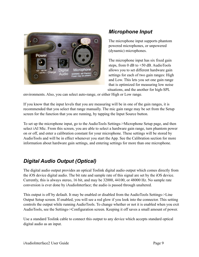

#### *Microphone Input*

The microphone input supports phantom powered microphones, or unpowered (dynamic) microphones.

The microphone input has six fixed gain steps, from 0 dB to +50 dB. AudioTools allows you to set different hardware gain settings for each of two gain ranges: High and Low. This lets you set one gain range that is optimized for measuring low noise situations, and the another for high-SPL

environments. Also, you can select auto-range, or either High or Low range.

If you know that the input levels that you are measuring will be in one of the gain ranges, it is recommended that you select that range manually. The mic gain range may be set from the Setup screen for the function that you are running, by tapping the Input Source button.

To set up the microphone input, go to the AudioTools Settings->Microphone Setup page, and then select iAI Mic. From this screen, you are able to select a hardware gain range, turn phantom power on or off, and enter a calibration constant for your microphone. These settings will be stored by AudioTools and will be in effect whenever you start the App. See the Calibration section for more information about hardware gain settings, and entering settings for more than one microphone.

### *Digital Audio Output (Optical)*

The digital audio output provides an optical Toslink digital audio output which comes directly from the iOS device digital audio. The bit rate and sample rate of this signal are set by the iOS device. Currently, this is always stereo, 16 bit, and may be 32000, 44100, or 48000 Hz. No sample rate conversion is ever done by iAudioInterface; the audio is passed through unaltered.

This output is off by default. It may be enabled or disabled from the AudioTools Settings->Line Output Setup screen. If enabled, you will see a red glow if you look into the connector. This setting controls the output while running AudioTools. To change whether or not it is enabled when you exit AudioTools, see the Settings->Configuration screen. Keeping it off saves a small amount of power.

Use a standard Toslink cable to connect this output to any device which accepts standard optical digital audio as an input.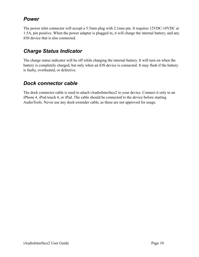#### *Power*

The power inlet connector will accept a 5.5mm plug with 2.1mm pin. It requires 12VDC-18VDC at 1.5A, pin positive. When the power adapter is plugged in, it will charge the internal battery, and any iOS device that is also connected.

#### *Charge Status Indicator*

The charge status indicator will be off while charging the internal battery. It will turn on when the battery is completely charged, but only when an iOS device is connected. It may flash if the battery is faulty, overheated, or defective.

#### *Dock connector cable*

The dock connector cable is used to attach iAudioInterface2 to your device. Connect it only to an iPhone 4, iPod touch 4, or iPad. The cable should be connected to the device before starting AudioTools. Never use any dock-extender cable, as these are not approved for usage.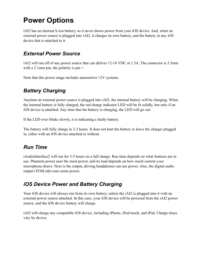# **Power Options**

iAI2 has an internal li-ion battery, so it never draws power from your iOS device. And, when an external power source is plugged into iAI2, it charges its own battery, and the battery in any iOS device that is attached to it.

#### *External Power Source*

iAI2 will run off of any power source that can deliver 12-18 VDC at 1.5A. The connector is 5.5mm with a 2.1mm pin, the polarity is pin  $+$ .

Note that this power range includes automotive 12V systems.

### *Battery Charging*

Anytime an external power source is plugged into iAI2, the internal battery will be charging. When the internal battery is fully charged, the red charge indicator LED will be lit solidly, but only if an iOS device is attached. Any time that the battery is charging, the LED will go out.

If the LED ever blinks slowly, it is indicating a faulty battery.

The battery will fully charge in 2-3 hours. It does not hurt the battery to leave the charger plugged in, either with an iOS device attached or without.

#### *Run Time*

iAudioInterface2 will run for 3-5 hours on a full charge. Run time depends on what features are in use. Phantom power uses the most power, and its load depends on how much current your microphone draws. Next is the output, driving headphones can use power. Also, the digital audio output (TOSLink) uses some power.

#### *iOS Device Power and Battery Charging*

Your iOS device will always run from its own battery, unless the iAI2 is plugged into it with an external power source attached. In this case, your iOS device will be powered from the iAI2 power source, and the iOS device battery will charge.

iAI2 will charge any compatible iOS device, including iPhone, iPod touch, and iPad. Charge times vary by device.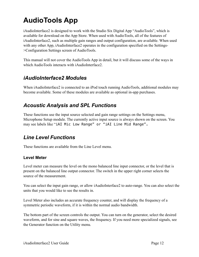# **AudioTools App**

iAudioInterface2 is designed to work with the Studio Six Digital App "AudioTools", which is available for download on the App Store. When used with AudioTools, all of the features of iAudioInterface2, such as multiple gain ranges and output configuration, are available. When used with any other App, iAudioInterface2 operates in the configuration specified on the Settings->Configuration Settings screen of AudioTools.

This manual will not cover the AudioTools App in detail, but it will discuss some of the ways in which AudioTools interacts with iAudioInterface2

#### *iAudioInterface2 Modules*

When iAudioInterface2 is connected to an iPod touch running AudioTools, additional modules may become available. Some of these modules are available as optional in-app purchases.

#### *Acoustic Analysis and SPL Functions*

These functions use the input source selected and gain range settings on the Settings menu, Microphone Setup module. The currently active input source is always shown on the screen. You may see labels like "iAI Mic Low Range" or "iAI Line Mid Range".

#### *Line Level Functions*

These functions are available from the Line Level menu.

#### **Level Meter**

Level meter can measure the level on the mono balanced line input connector, or the level that is present on the balanced line output connector. The switch in the upper right corner selects the source of the measurement.

You can select the input gain range, or allow iAudioInterface2 to auto-range. You can also select the units that you would like to see the results in.

Level Meter also includes an accurate frequency counter, and will display the frequency of a symmetric periodic waveform, if it is within the normal audio bandwidth.

The bottom part of the screen controls the output. You can turn on the generator, select the desired waveform, and for sine and square waves, the frequency. If you need more specialized signals, see the Generator function on the Utility menu.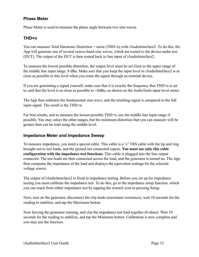#### **Phase Meter**

Phase Meter is used to measure the phase angle between two sine waves.

#### **THD+n**

You can measure Total Harmonic Distortion + noise (THD+n) with iAudioInterface2. To do this, the App will generate one of several octave-band sine waves, which are routed to the device under test (DUT). The output of the DUT is then routed back to line input of iAudioInterface2.

To measure the lowest possible distortion, the output level must be set close to the upper range of the middle line input range, 8 dBu. Make sure that you keep the input level to iAudioInterface2 is as close as possible to this level when you route the signal through an external device.

If you are generating a signal yourself, make sure that it is exactly the frequency that THD+n is set to, and that the level is as close as possible to +8dBu, as shown on the AudioTools input level meter.

The App then subtracts the fundamental sine wave, and the resulting signal is compared to the full input signal. The result is the THD+n.

For best results, and to measure the lowest possible THD+n, use the middle line input range if possible. You may select the other ranges, but the minimum distortion that you can measure will be greater than can be read using the middle level.

#### **Impedance Meter and Impedance Sweep**

To measure impedance, you need a special cable. This cable is a  $\frac{1}{4}$  TRS cable with the tip and ring brought out to test leads, and the ground not connected (open). **You must use only this cable configuration with the impedance test functions.** This cable is plugged into the line output connector. The test leads are then connected across the load, and the generator is turned on. The App then computes the impedance of the load and displays the equivalent wattage for the selected voltage source.

The output of iAudioInterface2 is fixed in impedance testing. Before you set up for impedance testing you must calibrate the impedance test. To do this, go to the impedance setup function, which you can reach from either impedance test by tapping the wrench icon or pressing Setup.

Next, turn on the generator, disconnect the clip leads (maximum resistance), wait 10 seconds for the reading to stabilize, and tap the Maximum button.

Now leaving the generator running, and clip the impedance test lead together (0 ohms). Wait 10 seconds for the reading to stabilize, and tap the Minimum button. Calibration is now complete and you may use the function.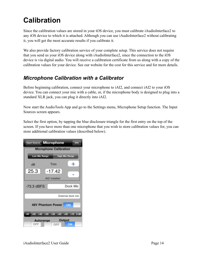# **Calibration**

Since the calibration values are stored in your iOS device, you must calibrate iAudioInterface2 to any iOS device to which it is attached. Although you can use iAudioInterface2 without calibrating it, you will get the most accurate results if you calibrate it.

We also provide factory calibration service of your complete setup. This service does not require that you send us your iOS device along with iAudioInterface2, since the connection to the iOS device is via digital audio. You will receive a calibration certificate from us along with a copy of the calibration values for your device. See our website for the cost for this service and for more details.

#### *Microphone Calibration with a Calibrator*

Before beginning calibration, connect your microphone to iAI2, and connect iAI2 to your iOS device. You can connect your mic with a cable, or, if the microphone body is designed to plug into a standard XLR jack, you can plug it directly into iAI2.

Now start the AudioTools App and go to the Settings menu, Microphone Setup function. The Input Sources screen appears.

Select the first option, by tapping the blue disclosure triangle for the first entry on the top of the screen. If you have more than one microphone that you wish to store calibration values for, you can store additional calibration values (described below).

| <b>Input Source Microphone</b><br><b>Info</b> |                             |
|-----------------------------------------------|-----------------------------|
| <b>Microphone Calibration</b>                 |                             |
| <b>Low Mic Range</b>                          | <b>High Mic Range</b>       |
| Trim<br>dB                                    | $\mathrm{+}$                |
| 25.3<br>$-17.42$                              |                             |
| iAI2 Installed                                |                             |
| $-73.3$ dBFS                                  | Dock Mic                    |
| External dock mic                             |                             |
| 48V Phantom Power<br>ON                       |                             |
| $-45$<br>$+35$<br>-50<br>$+40$                | $+30 +25 +20 +10$<br>$0d$ B |
| Output<br>Autorange<br>ON<br>OFF<br>OFF       |                             |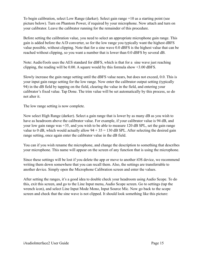To begin calibration, select Low Range (darker). Select gain range +10 as a starting point (see picture below). Turn on Phantom Power, if required by your microphone. Now attach and turn on your calibrator. Leave the calibrator running for the remainder of this procedure.

Before setting the calibration value, you need to select an appropriate microphone gain range. This gain is added before the A/D converter, so for the low range you typically want the highest dBFS value possible, without clipping. Note that for a sine wave 0.0 dBFS is the highest value that can be reached without clipping, so you want a number that is lower than 0.0 dBFS by several dB.

Note: AudioTools uses the AES standard for dBFS, which is that for a sine wave just reaching clipping, the reading will be 0.00. A square would by this formula show +3.00 dBFS.

Slowly increase the gain range setting until the dBFS value nears, but does not exceed, 0.0. This is your input gain range setting for the low range. Now enter the calibrator output setting (typically 94) in the dB field by tapping on the field, clearing the value in the field, and entering your calibrator's fixed value. Tap Done. The trim value will be set automatically by this process, so do not alter it.

The low range setting is now complete.

Now select High Range (darker). Select a gain range that is lower by as many dB as you wish to have as headroom above the calibrator value. For example, if your calibrator value is 94 dB, and your low gain range was +35, and you wish to be able to measure 120 dB SPL, set the gain range value to 0 dB, which would actually allow  $94 + 35 = 130$  dB SPL. After selecting the desired gain range setting, once again enter the calibrator value in the dB field.

You can if you wish rename the microphone, and change the description to something that describes your microphone. This name will appear on the screen of any function that is using the microphone.

Since these settings will be lost if you delete the app or move to another iOS device, we recommend writing them down somewhere that you can recall them. Also, the settings are transferrable to another device. Simply open the Microphone Calibration screen and enter the values.

After setting the ranges, it's a good idea to double check your headroom using Audio Scope. To do this, exit this screen, and go to the Line Input menu, Audio Scope screen. Go to settings (tap the wrench icon), and select Line Input Mode Mono, Input Source Mic. Now go back to the scope screen and check that the sine wave is not clipped. It should look something like this picture: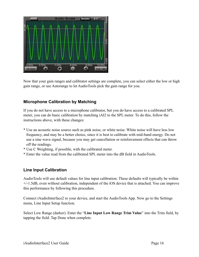

Now that your gain ranges and calibrator settings are complete, you can select either the low or high gain range, or use Autorange to let AudioTools pick the gain range for you.

#### **Microphone Calibration by Matching**

If you do not have access to a microphone calibrator, but you do have access to a calibrated SPL meter, you can do basic calibration by matching iAI2 to the SPL meter. To do this, follow the instructions above, with these changes:

- \* Use an acoustic noise source such as pink noise, or white noise. White noise will have less low frequency, and may be a better choice, since it is best to calibrate with mid-band energy. Do not use a sine wave signal, because you may get cancellation or reinforcement effects that can throw off the readings.
- \* Use C Weighting, if possible, with the calibrated meter.
- \* Enter the value read from the calibrated SPL meter into the dB field in AudioTools.

#### **Line Input Calibration**

AudioTools will use default values for line input calibration. These defaults will typically be within +/-1.5dB, even without calibration, independent of the iOS device that is attached. You can improve this performance by following this procedure.

Connect iAudioInterface2 to your device, and start the AudioTools App. Now go to the Settings menu, Line Input Setup function.

Select Low Range (darker). Enter the "**Line Input Low Range Trim Value**" into the Trim field, by tapping the field. Tap Done when complete.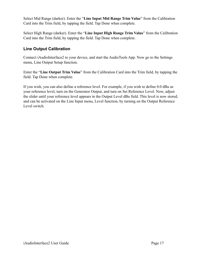Select Mid Range (darker). Enter the "**Line Input Mid Range Trim Value**" from the Calibration Card into the Trim field, by tapping the field. Tap Done when complete.

Select High Range (darker). Enter the "**Line Input High Range Trim Value**" from the Calibration Card into the Trim field, by tapping the field. Tap Done when complete.

#### **Line Output Calibration**

Connect iAudioInterface2 to your device, and start the AudioTools App. Now go to the Settings menu, Line Output Setup function.

Enter the "**Line Output Trim Value**" from the Calibration Card into the Trim field, by tapping the field. Tap Done when complete.

If you wish, you can also define a reference level. For example, if you wish to define 0.0 dBu as your reference level, turn on the Generator Output, and turn on Set Reference Level. Now, adjust the slider until your reference level appears in the Output Level dBu field. This level is now stored, and can be activated on the Line Input menu, Level function, by turning on the Output Reference Level switch.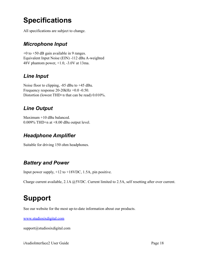# **Specifications**

All specifications are subject to change.

### *Microphone Input*

+0 to +50 dB gain available in 9 ranges. Equivalent Input Noise (EIN) -112 dBu A-weighted 48V phantom power, +1.0, -3.0V at 13ma.

### *Line Input*

Noise floor to clipping, -85 dBu to +45 dBu. Frequency response 20-20kHz +0.0 -0.50. Distortion (lowest THD+n that can be read) 0.010%.

### *Line Output*

Maximum +10 dBu balanced. 0.009% THD+n at +8.00 dBu output level.

### *Headphone Amplifier*

Suitable for driving 150 ohm headphones.

### *Battery and Power*

Input power supply, +12 to +18VDC, 1.5A, pin positive.

Charge current available, 2.1A @5VDC. Current limited to 2.5A, self resetting after over current.

# **Support**

See our website for the most up-to-date information about our products.

[www.studiosixdigital.com](http://www.studiosixdigital.com)

support@studiosixdigital.com